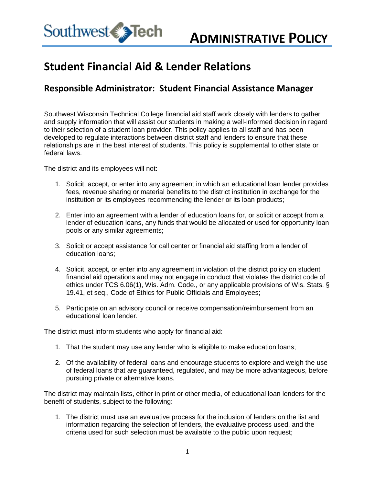

## **Student Financial Aid & Lender Relations**

## **Responsible Administrator: Student Financial Assistance Manager**

Southwest Wisconsin Technical College financial aid staff work closely with lenders to gather and supply information that will assist our students in making a well-informed decision in regard to their selection of a student loan provider. This policy applies to all staff and has been developed to regulate interactions between district staff and lenders to ensure that these relationships are in the best interest of students. This policy is supplemental to other state or federal laws.

The district and its employees will not:

- 1. Solicit, accept, or enter into any agreement in which an educational loan lender provides fees, revenue sharing or material benefits to the district institution in exchange for the institution or its employees recommending the lender or its loan products;
- 2. Enter into an agreement with a lender of education loans for, or solicit or accept from a lender of education loans, any funds that would be allocated or used for opportunity loan pools or any similar agreements;
- 3. Solicit or accept assistance for call center or financial aid staffing from a lender of education loans;
- 4. Solicit, accept, or enter into any agreement in violation of the district policy on student financial aid operations and may not engage in conduct that violates the district code of ethics under TCS 6.06(1), Wis. Adm. Code., or any applicable provisions of Wis. Stats. § 19.41, et seq., Code of Ethics for Public Officials and Employees;
- 5. Participate on an advisory council or receive compensation/reimbursement from an educational loan lender.

The district must inform students who apply for financial aid:

- 1. That the student may use any lender who is eligible to make education loans;
- 2. Of the availability of federal loans and encourage students to explore and weigh the use of federal loans that are guaranteed, regulated, and may be more advantageous, before pursuing private or alternative loans.

The district may maintain lists, either in print or other media, of educational loan lenders for the benefit of students, subject to the following:

1. The district must use an evaluative process for the inclusion of lenders on the list and information regarding the selection of lenders, the evaluative process used, and the criteria used for such selection must be available to the public upon request;